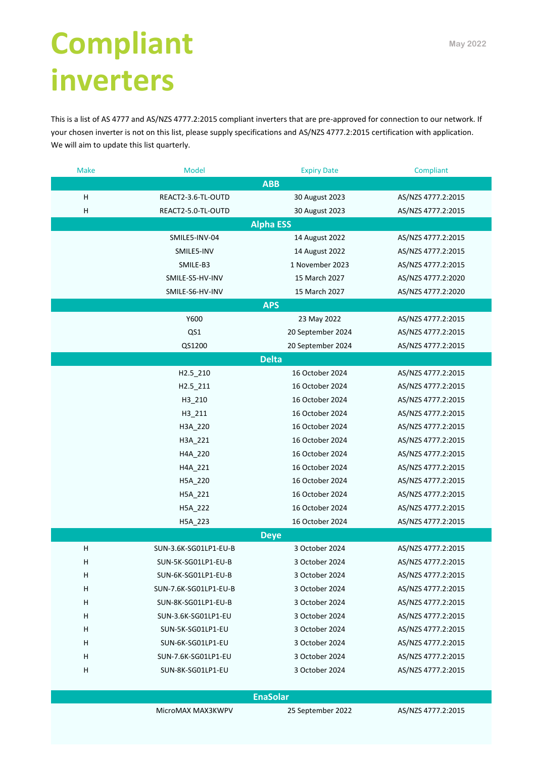## **Compliant inverters**

This is a list of AS 4777 and AS/NZS 4777.2:2015 compliant inverters that are pre-approved for connection to our network. If your chosen inverter is not on this list, please supply specifications and AS/NZS 4777.2:2015 certification with application. We will aim to update this list quarterly.

| <b>Make</b>     | Model                 | <b>Expiry Date</b> | Compliant          |  |  |
|-----------------|-----------------------|--------------------|--------------------|--|--|
|                 |                       | <b>ABB</b>         |                    |  |  |
| н               | REACT2-3.6-TL-OUTD    | 30 August 2023     | AS/NZS 4777.2:2015 |  |  |
| H               | REACT2-5.0-TL-OUTD    | 30 August 2023     | AS/NZS 4777.2:2015 |  |  |
|                 |                       | <b>Alpha ESS</b>   |                    |  |  |
|                 | SMILE5-INV-04         | 14 August 2022     | AS/NZS 4777.2:2015 |  |  |
|                 | SMILE5-INV            | 14 August 2022     | AS/NZS 4777.2:2015 |  |  |
|                 | SMILE-B3              | 1 November 2023    | AS/NZS 4777.2:2015 |  |  |
|                 | SMILE-S5-HV-INV       | 15 March 2027      | AS/NZS 4777.2:2020 |  |  |
|                 | SMILE-S6-HV-INV       | 15 March 2027      | AS/NZS 4777.2:2020 |  |  |
|                 |                       | <b>APS</b>         |                    |  |  |
|                 | Y600                  | 23 May 2022        | AS/NZS 4777.2:2015 |  |  |
|                 | QS1                   | 20 September 2024  | AS/NZS 4777.2:2015 |  |  |
|                 | QS1200                | 20 September 2024  | AS/NZS 4777.2:2015 |  |  |
|                 |                       | <b>Delta</b>       |                    |  |  |
|                 | H2.5_210              | 16 October 2024    | AS/NZS 4777.2:2015 |  |  |
|                 | $H2.5 - 211$          | 16 October 2024    | AS/NZS 4777.2:2015 |  |  |
|                 | H3 210                | 16 October 2024    | AS/NZS 4777.2:2015 |  |  |
|                 | H3_211                | 16 October 2024    | AS/NZS 4777.2:2015 |  |  |
|                 | H3A_220               | 16 October 2024    | AS/NZS 4777.2:2015 |  |  |
|                 | H3A_221               | 16 October 2024    | AS/NZS 4777.2:2015 |  |  |
|                 | H4A_220               | 16 October 2024    | AS/NZS 4777.2:2015 |  |  |
|                 | H4A_221               | 16 October 2024    | AS/NZS 4777.2:2015 |  |  |
|                 | H5A_220               | 16 October 2024    | AS/NZS 4777.2:2015 |  |  |
|                 | H5A_221               | 16 October 2024    | AS/NZS 4777.2:2015 |  |  |
|                 | H5A_222               | 16 October 2024    | AS/NZS 4777.2:2015 |  |  |
|                 | H5A_223               | 16 October 2024    | AS/NZS 4777.2:2015 |  |  |
| <b>Deye</b>     |                       |                    |                    |  |  |
| н               | SUN-3.6K-SG01LP1-EU-B | 3 October 2024     | AS/NZS 4777.2:2015 |  |  |
| H               | SUN-5K-SG01LP1-EU-B   | 3 October 2024     | AS/NZS 4777.2:2015 |  |  |
| H               | SUN-6K-SG01LP1-EU-B   | 3 October 2024     | AS/NZS 4777.2:2015 |  |  |
| н               | SUN-7.6K-SG01LP1-EU-B | 3 October 2024     | AS/NZS 4777.2:2015 |  |  |
| н               | SUN-8K-SG01LP1-EU-B   | 3 October 2024     | AS/NZS 4777.2:2015 |  |  |
| н               | SUN-3.6K-SG01LP1-EU   | 3 October 2024     | AS/NZS 4777.2:2015 |  |  |
| H               | SUN-5K-SG01LP1-EU     | 3 October 2024     | AS/NZS 4777.2:2015 |  |  |
| H               | SUN-6K-SG01LP1-EU     | 3 October 2024     | AS/NZS 4777.2:2015 |  |  |
| H               | SUN-7.6K-SG01LP1-EU   | 3 October 2024     | AS/NZS 4777.2:2015 |  |  |
| н               | SUN-8K-SG01LP1-EU     | 3 October 2024     | AS/NZS 4777.2:2015 |  |  |
|                 |                       |                    |                    |  |  |
| <b>EnaSolar</b> |                       |                    |                    |  |  |

MicroMAX MAX3KWPV 25 September 2022 AS/NZS 4777.2:2015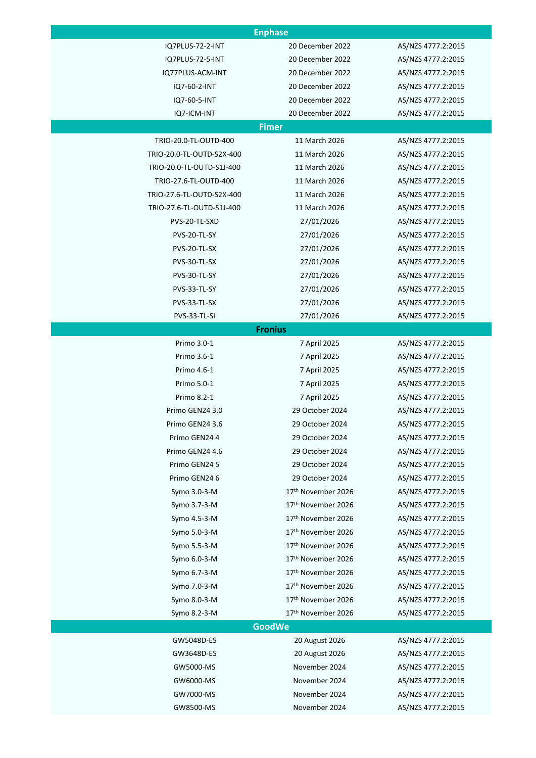| <b>Enphase</b>            |                    |                    |  |
|---------------------------|--------------------|--------------------|--|
| IQ7PLUS-72-2-INT          | 20 December 2022   | AS/NZS 4777.2:2015 |  |
| IQ7PLUS-72-5-INT          | 20 December 2022   | AS/NZS 4777.2:2015 |  |
| IQ77PLUS-ACM-INT          | 20 December 2022   | AS/NZS 4777.2:2015 |  |
| IQ7-60-2-INT              | 20 December 2022   | AS/NZS 4777.2:2015 |  |
| IQ7-60-5-INT              | 20 December 2022   | AS/NZS 4777.2:2015 |  |
| IQ7-ICM-INT               | 20 December 2022   | AS/NZS 4777.2:2015 |  |
|                           | <b>Fimer</b>       |                    |  |
| TRIO-20.0-TL-OUTD-400     | 11 March 2026      | AS/NZS 4777.2:2015 |  |
| TRIO-20.0-TL-OUTD-S2X-400 | 11 March 2026      | AS/NZS 4777.2:2015 |  |
| TRIO-20.0-TL-OUTD-S1J-400 | 11 March 2026      | AS/NZS 4777.2:2015 |  |
| TRIO-27.6-TL-OUTD-400     | 11 March 2026      | AS/NZS 4777.2:2015 |  |
| TRIO-27.6-TL-OUTD-S2X-400 | 11 March 2026      | AS/NZS 4777.2:2015 |  |
| TRIO-27.6-TL-OUTD-S1J-400 | 11 March 2026      | AS/NZS 4777.2:2015 |  |
| PVS-20-TL-SXD             | 27/01/2026         | AS/NZS 4777.2:2015 |  |
| PVS-20-TL-SY              | 27/01/2026         | AS/NZS 4777.2:2015 |  |
| PVS-20-TL-SX              | 27/01/2026         | AS/NZS 4777.2:2015 |  |
| PVS-30-TL-SX              | 27/01/2026         | AS/NZS 4777.2:2015 |  |
| PVS-30-TL-SY              | 27/01/2026         | AS/NZS 4777.2:2015 |  |
| PVS-33-TL-SY              | 27/01/2026         | AS/NZS 4777.2:2015 |  |
| PVS-33-TL-SX              | 27/01/2026         | AS/NZS 4777.2:2015 |  |
| PVS-33-TL-SI              | 27/01/2026         | AS/NZS 4777.2:2015 |  |
|                           | <b>Fronius</b>     |                    |  |
| Primo 3.0-1               | 7 April 2025       | AS/NZS 4777.2:2015 |  |
| Primo 3.6-1               | 7 April 2025       | AS/NZS 4777.2:2015 |  |
| Primo 4.6-1               | 7 April 2025       | AS/NZS 4777.2:2015 |  |
| Primo 5.0-1               | 7 April 2025       | AS/NZS 4777.2:2015 |  |
| Primo 8.2-1               | 7 April 2025       | AS/NZS 4777.2:2015 |  |
| Primo GEN24 3.0           | 29 October 2024    | AS/NZS 4777.2:2015 |  |
| Primo GEN24 3.6           | 29 October 2024    | AS/NZS 4777.2:2015 |  |
| Primo GEN24 4             | 29 October 2024    | AS/NZS 4777.2:2015 |  |
| Primo GEN24 4.6           | 29 October 2024    | AS/NZS 4777.2:2015 |  |
| Primo GEN24 5             | 29 October 2024    | AS/NZS 4777.2:2015 |  |
| Primo GEN24 6             | 29 October 2024    | AS/NZS 4777.2:2015 |  |
| Symo 3.0-3-M              | 17th November 2026 | AS/NZS 4777.2:2015 |  |
| Symo 3.7-3-M              | 17th November 2026 | AS/NZS 4777.2:2015 |  |
| Symo 4.5-3-M              | 17th November 2026 | AS/NZS 4777.2:2015 |  |
| Symo 5.0-3-M              | 17th November 2026 | AS/NZS 4777.2:2015 |  |
| Symo 5.5-3-M              | 17th November 2026 | AS/NZS 4777.2:2015 |  |
| Symo 6.0-3-M              | 17th November 2026 | AS/NZS 4777.2:2015 |  |
| Symo 6.7-3-M              | 17th November 2026 | AS/NZS 4777.2:2015 |  |
| Symo 7.0-3-M              | 17th November 2026 | AS/NZS 4777.2:2015 |  |
| Symo 8.0-3-M              | 17th November 2026 | AS/NZS 4777.2:2015 |  |
| Symo 8.2-3-M              | 17th November 2026 | AS/NZS 4777.2:2015 |  |
|                           | <b>GoodWe</b>      |                    |  |
| GW5048D-ES                | 20 August 2026     | AS/NZS 4777.2:2015 |  |
| GW3648D-ES                | 20 August 2026     | AS/NZS 4777.2:2015 |  |
| GW5000-MS                 | November 2024      | AS/NZS 4777.2:2015 |  |
| GW6000-MS                 | November 2024      | AS/NZS 4777.2:2015 |  |
| GW7000-MS                 | November 2024      | AS/NZS 4777.2:2015 |  |
| GW8500-MS                 | November 2024      | AS/NZS 4777.2:2015 |  |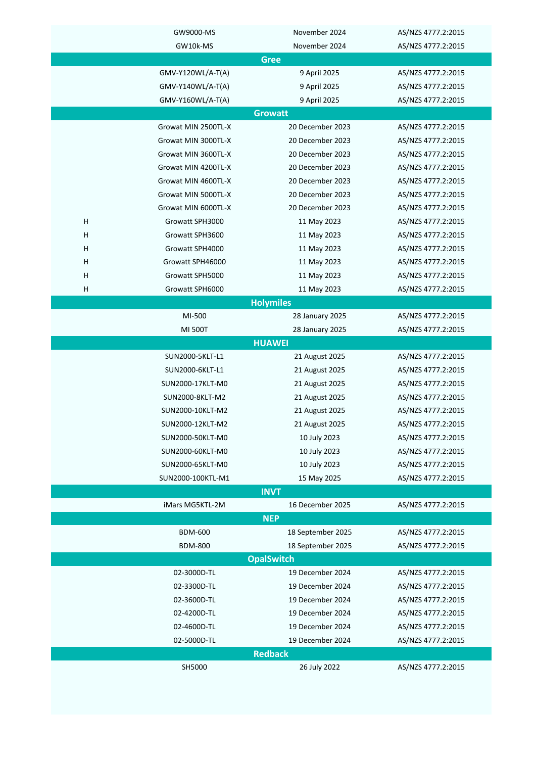|                | GW9000-MS           | November 2024     | AS/NZS 4777.2:2015 |  |
|----------------|---------------------|-------------------|--------------------|--|
|                | GW10k-MS            | November 2024     | AS/NZS 4777.2:2015 |  |
| <b>Gree</b>    |                     |                   |                    |  |
|                | GMV-Y120WL/A-T(A)   | 9 April 2025      | AS/NZS 4777.2:2015 |  |
|                | GMV-Y140WL/A-T(A)   | 9 April 2025      | AS/NZS 4777.2:2015 |  |
|                | GMV-Y160WL/A-T(A)   | 9 April 2025      | AS/NZS 4777.2:2015 |  |
|                |                     | <b>Growatt</b>    |                    |  |
|                | Growat MIN 2500TL-X | 20 December 2023  | AS/NZS 4777.2:2015 |  |
|                | Growat MIN 3000TL-X | 20 December 2023  | AS/NZS 4777.2:2015 |  |
|                | Growat MIN 3600TL-X | 20 December 2023  | AS/NZS 4777.2:2015 |  |
|                | Growat MIN 4200TL-X | 20 December 2023  | AS/NZS 4777.2:2015 |  |
|                | Growat MIN 4600TL-X | 20 December 2023  | AS/NZS 4777.2:2015 |  |
|                | Growat MIN 5000TL-X | 20 December 2023  | AS/NZS 4777.2:2015 |  |
|                | Growat MIN 6000TL-X | 20 December 2023  | AS/NZS 4777.2:2015 |  |
| H              | Growatt SPH3000     | 11 May 2023       | AS/NZS 4777.2:2015 |  |
| Н              | Growatt SPH3600     | 11 May 2023       | AS/NZS 4777.2:2015 |  |
| н              | Growatt SPH4000     | 11 May 2023       | AS/NZS 4777.2:2015 |  |
| Н              | Growatt SPH46000    | 11 May 2023       | AS/NZS 4777.2:2015 |  |
| H              | Growatt SPH5000     | 11 May 2023       | AS/NZS 4777.2:2015 |  |
| Н              | Growatt SPH6000     | 11 May 2023       | AS/NZS 4777.2:2015 |  |
|                |                     | <b>Holymiles</b>  |                    |  |
|                | MI-500              | 28 January 2025   | AS/NZS 4777.2:2015 |  |
|                | MI 500T             | 28 January 2025   | AS/NZS 4777.2:2015 |  |
|                |                     | <b>HUAWEI</b>     |                    |  |
|                | SUN2000-5KLT-L1     | 21 August 2025    | AS/NZS 4777.2:2015 |  |
|                | SUN2000-6KLT-L1     | 21 August 2025    | AS/NZS 4777.2:2015 |  |
|                | SUN2000-17KLT-M0    | 21 August 2025    | AS/NZS 4777.2:2015 |  |
|                | SUN2000-8KLT-M2     | 21 August 2025    | AS/NZS 4777.2:2015 |  |
|                | SUN2000-10KLT-M2    | 21 August 2025    | AS/NZS 4777.2:2015 |  |
|                | SUN2000-12KLT-M2    | 21 August 2025    | AS/NZS 4777.2:2015 |  |
|                | SUN2000-50KLT-M0    | 10 July 2023      | AS/NZS 4777.2:2015 |  |
|                | SUN2000-60KLT-M0    | 10 July 2023      | AS/NZS 4777.2:2015 |  |
|                | SUN2000-65KLT-M0    | 10 July 2023      | AS/NZS 4777.2:2015 |  |
|                | SUN2000-100KTL-M1   | 15 May 2025       | AS/NZS 4777.2:2015 |  |
|                |                     | <b>INVT</b>       |                    |  |
|                | iMars MG5KTL-2M     | 16 December 2025  | AS/NZS 4777.2:2015 |  |
|                |                     | <b>NEP</b>        |                    |  |
|                | <b>BDM-600</b>      | 18 September 2025 | AS/NZS 4777.2:2015 |  |
|                | <b>BDM-800</b>      | 18 September 2025 | AS/NZS 4777.2:2015 |  |
|                |                     | <b>OpalSwitch</b> |                    |  |
|                | 02-3000D-TL         | 19 December 2024  | AS/NZS 4777.2:2015 |  |
|                | 02-3300D-TL         | 19 December 2024  | AS/NZS 4777.2:2015 |  |
|                | 02-3600D-TL         | 19 December 2024  | AS/NZS 4777.2:2015 |  |
|                | 02-4200D-TL         | 19 December 2024  | AS/NZS 4777.2:2015 |  |
|                | 02-4600D-TL         | 19 December 2024  | AS/NZS 4777.2:2015 |  |
|                | 02-5000D-TL         | 19 December 2024  | AS/NZS 4777.2:2015 |  |
| <b>Redback</b> |                     |                   |                    |  |
|                | SH5000              | 26 July 2022      | AS/NZS 4777.2:2015 |  |
|                |                     |                   |                    |  |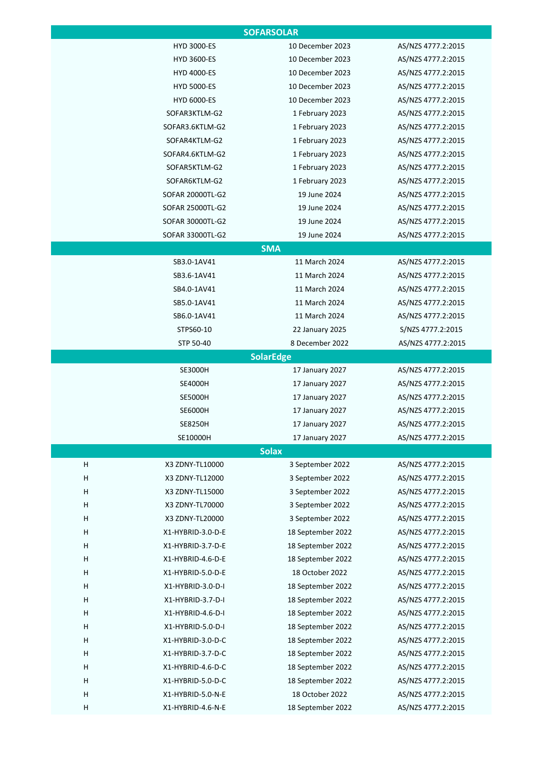| <b>SOFARSOLAR</b> |                    |                   |                    |  |
|-------------------|--------------------|-------------------|--------------------|--|
|                   | HYD 3000-ES        | 10 December 2023  | AS/NZS 4777.2:2015 |  |
|                   | <b>HYD 3600-ES</b> | 10 December 2023  | AS/NZS 4777.2:2015 |  |
|                   | <b>HYD 4000-ES</b> | 10 December 2023  | AS/NZS 4777.2:2015 |  |
|                   | <b>HYD 5000-ES</b> | 10 December 2023  | AS/NZS 4777.2:2015 |  |
|                   | <b>HYD 6000-ES</b> | 10 December 2023  | AS/NZS 4777.2:2015 |  |
|                   | SOFAR3KTLM-G2      | 1 February 2023   | AS/NZS 4777.2:2015 |  |
|                   | SOFAR3.6KTLM-G2    | 1 February 2023   | AS/NZS 4777.2:2015 |  |
|                   | SOFAR4KTLM-G2      | 1 February 2023   | AS/NZS 4777.2:2015 |  |
|                   | SOFAR4.6KTLM-G2    | 1 February 2023   | AS/NZS 4777.2:2015 |  |
|                   | SOFAR5KTLM-G2      | 1 February 2023   | AS/NZS 4777.2:2015 |  |
|                   | SOFAR6KTLM-G2      | 1 February 2023   | AS/NZS 4777.2:2015 |  |
|                   | SOFAR 20000TL-G2   | 19 June 2024      | AS/NZS 4777.2:2015 |  |
|                   | SOFAR 25000TL-G2   | 19 June 2024      | AS/NZS 4777.2:2015 |  |
|                   | SOFAR 30000TL-G2   | 19 June 2024      | AS/NZS 4777.2:2015 |  |
|                   | SOFAR 33000TL-G2   | 19 June 2024      | AS/NZS 4777.2:2015 |  |
|                   |                    | <b>SMA</b>        |                    |  |
|                   | SB3.0-1AV41        | 11 March 2024     | AS/NZS 4777.2:2015 |  |
|                   | SB3.6-1AV41        | 11 March 2024     | AS/NZS 4777.2:2015 |  |
|                   | SB4.0-1AV41        | 11 March 2024     | AS/NZS 4777.2:2015 |  |
|                   | SB5.0-1AV41        | 11 March 2024     | AS/NZS 4777.2:2015 |  |
|                   | SB6.0-1AV41        | 11 March 2024     | AS/NZS 4777.2:2015 |  |
|                   | STPS60-10          | 22 January 2025   | S/NZS 4777.2:2015  |  |
|                   | STP 50-40          | 8 December 2022   | AS/NZS 4777.2:2015 |  |
|                   |                    | <b>SolarEdge</b>  |                    |  |
|                   | <b>SE3000H</b>     | 17 January 2027   | AS/NZS 4777.2:2015 |  |
|                   | <b>SE4000H</b>     | 17 January 2027   | AS/NZS 4777.2:2015 |  |
|                   | <b>SE5000H</b>     | 17 January 2027   | AS/NZS 4777.2:2015 |  |
|                   | <b>SE6000H</b>     | 17 January 2027   | AS/NZS 4777.2:2015 |  |
|                   | <b>SE8250H</b>     | 17 January 2027   | AS/NZS 4777.2:2015 |  |
|                   | SE10000H           | 17 January 2027   | AS/NZS 4777.2:2015 |  |
|                   |                    | <b>Solax</b>      |                    |  |
| н                 | X3 ZDNY-TL10000    | 3 September 2022  | AS/NZS 4777.2:2015 |  |
| н                 | X3 ZDNY-TL12000    | 3 September 2022  | AS/NZS 4777.2:2015 |  |
| н                 | X3 ZDNY-TL15000    | 3 September 2022  | AS/NZS 4777.2:2015 |  |
| н                 | X3 ZDNY-TL70000    | 3 September 2022  | AS/NZS 4777.2:2015 |  |
| н                 | X3 ZDNY-TL20000    | 3 September 2022  | AS/NZS 4777.2:2015 |  |
| н                 | X1-HYBRID-3.0-D-E  | 18 September 2022 | AS/NZS 4777.2:2015 |  |
| н                 | X1-HYBRID-3.7-D-E  | 18 September 2022 | AS/NZS 4777.2:2015 |  |
| н                 | X1-HYBRID-4.6-D-E  | 18 September 2022 | AS/NZS 4777.2:2015 |  |
| н                 | X1-HYBRID-5.0-D-E  | 18 October 2022   | AS/NZS 4777.2:2015 |  |
| н                 | X1-HYBRID-3.0-D-I  | 18 September 2022 | AS/NZS 4777.2:2015 |  |
| н                 | X1-HYBRID-3.7-D-I  | 18 September 2022 | AS/NZS 4777.2:2015 |  |
| н                 | X1-HYBRID-4.6-D-I  | 18 September 2022 | AS/NZS 4777.2:2015 |  |
| н                 | X1-HYBRID-5.0-D-I  | 18 September 2022 | AS/NZS 4777.2:2015 |  |
| н                 | X1-HYBRID-3.0-D-C  | 18 September 2022 | AS/NZS 4777.2:2015 |  |
| н                 | X1-HYBRID-3.7-D-C  | 18 September 2022 | AS/NZS 4777.2:2015 |  |
| н                 | X1-HYBRID-4.6-D-C  | 18 September 2022 | AS/NZS 4777.2:2015 |  |
| н                 | X1-HYBRID-5.0-D-C  | 18 September 2022 | AS/NZS 4777.2:2015 |  |
| н                 | X1-HYBRID-5.0-N-E  | 18 October 2022   | AS/NZS 4777.2:2015 |  |
| н                 | X1-HYBRID-4.6-N-E  | 18 September 2022 | AS/NZS 4777.2:2015 |  |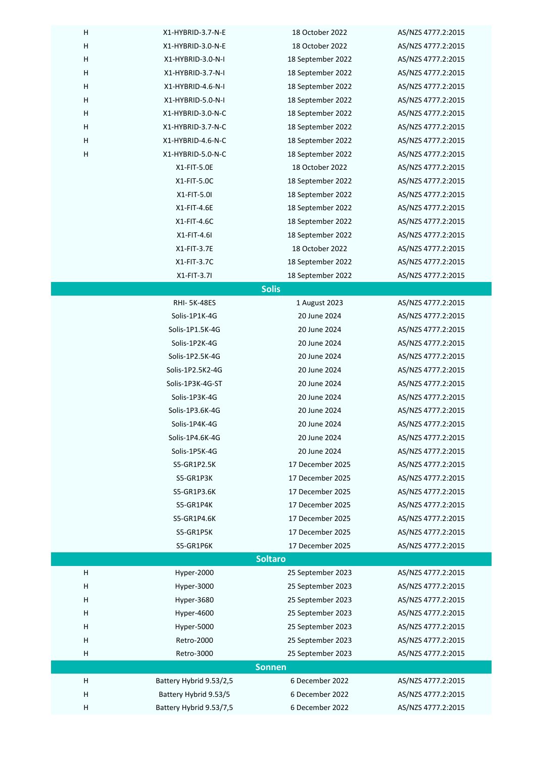| Н<br>18 October 2022<br>X1-HYBRID-3.0-N-E<br>AS/NZS 4777.2:2015<br>н<br>X1-HYBRID-3.0-N-I<br>18 September 2022<br>AS/NZS 4777.2:2015<br>н<br>X1-HYBRID-3.7-N-I<br>18 September 2022<br>AS/NZS 4777.2:2015<br>н<br>X1-HYBRID-4.6-N-I<br>18 September 2022<br>AS/NZS 4777.2:2015<br>H<br>X1-HYBRID-5.0-N-I<br>18 September 2022<br>AS/NZS 4777.2:2015<br>н<br>X1-HYBRID-3.0-N-C<br>18 September 2022<br>AS/NZS 4777.2:2015<br>Н<br>X1-HYBRID-3.7-N-C<br>18 September 2022<br>AS/NZS 4777.2:2015<br>н<br>X1-HYBRID-4.6-N-C<br>18 September 2022<br>AS/NZS 4777.2:2015<br>H<br>X1-HYBRID-5.0-N-C<br>18 September 2022<br>AS/NZS 4777.2:2015<br>X1-FIT-5.0E<br>18 October 2022<br>AS/NZS 4777.2:2015<br>X1-FIT-5.0C<br>18 September 2022<br>AS/NZS 4777.2:2015<br>X1-FIT-5.0I<br>18 September 2022<br>AS/NZS 4777.2:2015<br>X1-FIT-4.6E<br>18 September 2022<br>AS/NZS 4777.2:2015<br>X1-FIT-4.6C<br>18 September 2022<br>AS/NZS 4777.2:2015<br>$X1-FIT-4.6I$<br>18 September 2022<br>AS/NZS 4777.2:2015<br>X1-FIT-3.7E<br>18 October 2022<br>AS/NZS 4777.2:2015<br>X1-FIT-3.7C<br>18 September 2022<br>AS/NZS 4777.2:2015<br>X1-FIT-3.7I<br>AS/NZS 4777.2:2015<br>18 September 2022<br><b>Solis</b><br><b>RHI-5K-48ES</b><br>1 August 2023<br>AS/NZS 4777.2:2015<br>Solis-1P1K-4G<br>20 June 2024<br>AS/NZS 4777.2:2015<br>Solis-1P1.5K-4G<br>20 June 2024<br>AS/NZS 4777.2:2015<br>Solis-1P2K-4G<br>20 June 2024<br>AS/NZS 4777.2:2015<br>Solis-1P2.5K-4G<br>20 June 2024<br>AS/NZS 4777.2:2015<br>Solis-1P2.5K2-4G<br>20 June 2024<br>AS/NZS 4777.2:2015<br>Solis-1P3K-4G-ST<br>20 June 2024<br>AS/NZS 4777.2:2015<br>Solis-1P3K-4G<br>20 June 2024<br>AS/NZS 4777.2:2015<br>Solis-1P3.6K-4G<br>20 June 2024<br>AS/NZS 4777.2:2015<br>Solis-1P4K-4G<br>20 June 2024<br>AS/NZS 4777.2:2015<br>Solis-1P4.6K-4G<br>20 June 2024<br>AS/NZS 4777.2:2015<br>Solis-1P5K-4G<br>20 June 2024<br>AS/NZS 4777.2:2015<br>17 December 2025<br>S5-GR1P2.5K<br>AS/NZS 4777.2:2015<br>17 December 2025<br>S5-GR1P3K<br>AS/NZS 4777.2:2015<br>17 December 2025<br>S5-GR1P3.6K<br>AS/NZS 4777.2:2015<br>17 December 2025<br>S5-GR1P4K<br>AS/NZS 4777.2:2015<br>17 December 2025<br>S5-GR1P4.6K<br>AS/NZS 4777.2:2015<br>17 December 2025<br>AS/NZS 4777.2:2015<br>S5-GR1P5K<br>17 December 2025<br>AS/NZS 4777.2:2015<br>S5-GR1P6K<br><b>Soltaro</b><br>н<br>Hyper-2000<br>25 September 2023<br>AS/NZS 4777.2:2015<br>н<br>Hyper-3000<br>25 September 2023<br>AS/NZS 4777.2:2015<br>н<br>Hyper-3680<br>25 September 2023<br>AS/NZS 4777.2:2015<br>Н<br>Hyper-4600<br>25 September 2023<br>AS/NZS 4777.2:2015<br>н<br>Hyper-5000<br>25 September 2023<br>AS/NZS 4777.2:2015<br>AS/NZS 4777.2:2015<br>н<br>Retro-2000<br>25 September 2023<br>AS/NZS 4777.2:2015<br>н<br>Retro-3000<br>25 September 2023<br><b>Sonnen</b><br>6 December 2022<br>н<br>Battery Hybrid 9.53/2,5<br>AS/NZS 4777.2:2015<br>6 December 2022<br>н<br>Battery Hybrid 9.53/5<br>AS/NZS 4777.2:2015 | н | X1-HYBRID-3.7-N-E       | 18 October 2022 | AS/NZS 4777.2:2015 |  |
|-----------------------------------------------------------------------------------------------------------------------------------------------------------------------------------------------------------------------------------------------------------------------------------------------------------------------------------------------------------------------------------------------------------------------------------------------------------------------------------------------------------------------------------------------------------------------------------------------------------------------------------------------------------------------------------------------------------------------------------------------------------------------------------------------------------------------------------------------------------------------------------------------------------------------------------------------------------------------------------------------------------------------------------------------------------------------------------------------------------------------------------------------------------------------------------------------------------------------------------------------------------------------------------------------------------------------------------------------------------------------------------------------------------------------------------------------------------------------------------------------------------------------------------------------------------------------------------------------------------------------------------------------------------------------------------------------------------------------------------------------------------------------------------------------------------------------------------------------------------------------------------------------------------------------------------------------------------------------------------------------------------------------------------------------------------------------------------------------------------------------------------------------------------------------------------------------------------------------------------------------------------------------------------------------------------------------------------------------------------------------------------------------------------------------------------------------------------------------------------------------------------------------------------------------------------------------------------------------------------------------------------------------------------------------------------------------------------------------------------------------------------------------------------------------------------------------------------------------------------------------------------------------------------------------------------------------------|---|-------------------------|-----------------|--------------------|--|
|                                                                                                                                                                                                                                                                                                                                                                                                                                                                                                                                                                                                                                                                                                                                                                                                                                                                                                                                                                                                                                                                                                                                                                                                                                                                                                                                                                                                                                                                                                                                                                                                                                                                                                                                                                                                                                                                                                                                                                                                                                                                                                                                                                                                                                                                                                                                                                                                                                                                                                                                                                                                                                                                                                                                                                                                                                                                                                                                                     |   |                         |                 |                    |  |
|                                                                                                                                                                                                                                                                                                                                                                                                                                                                                                                                                                                                                                                                                                                                                                                                                                                                                                                                                                                                                                                                                                                                                                                                                                                                                                                                                                                                                                                                                                                                                                                                                                                                                                                                                                                                                                                                                                                                                                                                                                                                                                                                                                                                                                                                                                                                                                                                                                                                                                                                                                                                                                                                                                                                                                                                                                                                                                                                                     |   |                         |                 |                    |  |
|                                                                                                                                                                                                                                                                                                                                                                                                                                                                                                                                                                                                                                                                                                                                                                                                                                                                                                                                                                                                                                                                                                                                                                                                                                                                                                                                                                                                                                                                                                                                                                                                                                                                                                                                                                                                                                                                                                                                                                                                                                                                                                                                                                                                                                                                                                                                                                                                                                                                                                                                                                                                                                                                                                                                                                                                                                                                                                                                                     |   |                         |                 |                    |  |
|                                                                                                                                                                                                                                                                                                                                                                                                                                                                                                                                                                                                                                                                                                                                                                                                                                                                                                                                                                                                                                                                                                                                                                                                                                                                                                                                                                                                                                                                                                                                                                                                                                                                                                                                                                                                                                                                                                                                                                                                                                                                                                                                                                                                                                                                                                                                                                                                                                                                                                                                                                                                                                                                                                                                                                                                                                                                                                                                                     |   |                         |                 |                    |  |
|                                                                                                                                                                                                                                                                                                                                                                                                                                                                                                                                                                                                                                                                                                                                                                                                                                                                                                                                                                                                                                                                                                                                                                                                                                                                                                                                                                                                                                                                                                                                                                                                                                                                                                                                                                                                                                                                                                                                                                                                                                                                                                                                                                                                                                                                                                                                                                                                                                                                                                                                                                                                                                                                                                                                                                                                                                                                                                                                                     |   |                         |                 |                    |  |
|                                                                                                                                                                                                                                                                                                                                                                                                                                                                                                                                                                                                                                                                                                                                                                                                                                                                                                                                                                                                                                                                                                                                                                                                                                                                                                                                                                                                                                                                                                                                                                                                                                                                                                                                                                                                                                                                                                                                                                                                                                                                                                                                                                                                                                                                                                                                                                                                                                                                                                                                                                                                                                                                                                                                                                                                                                                                                                                                                     |   |                         |                 |                    |  |
|                                                                                                                                                                                                                                                                                                                                                                                                                                                                                                                                                                                                                                                                                                                                                                                                                                                                                                                                                                                                                                                                                                                                                                                                                                                                                                                                                                                                                                                                                                                                                                                                                                                                                                                                                                                                                                                                                                                                                                                                                                                                                                                                                                                                                                                                                                                                                                                                                                                                                                                                                                                                                                                                                                                                                                                                                                                                                                                                                     |   |                         |                 |                    |  |
|                                                                                                                                                                                                                                                                                                                                                                                                                                                                                                                                                                                                                                                                                                                                                                                                                                                                                                                                                                                                                                                                                                                                                                                                                                                                                                                                                                                                                                                                                                                                                                                                                                                                                                                                                                                                                                                                                                                                                                                                                                                                                                                                                                                                                                                                                                                                                                                                                                                                                                                                                                                                                                                                                                                                                                                                                                                                                                                                                     |   |                         |                 |                    |  |
|                                                                                                                                                                                                                                                                                                                                                                                                                                                                                                                                                                                                                                                                                                                                                                                                                                                                                                                                                                                                                                                                                                                                                                                                                                                                                                                                                                                                                                                                                                                                                                                                                                                                                                                                                                                                                                                                                                                                                                                                                                                                                                                                                                                                                                                                                                                                                                                                                                                                                                                                                                                                                                                                                                                                                                                                                                                                                                                                                     |   |                         |                 |                    |  |
|                                                                                                                                                                                                                                                                                                                                                                                                                                                                                                                                                                                                                                                                                                                                                                                                                                                                                                                                                                                                                                                                                                                                                                                                                                                                                                                                                                                                                                                                                                                                                                                                                                                                                                                                                                                                                                                                                                                                                                                                                                                                                                                                                                                                                                                                                                                                                                                                                                                                                                                                                                                                                                                                                                                                                                                                                                                                                                                                                     |   |                         |                 |                    |  |
|                                                                                                                                                                                                                                                                                                                                                                                                                                                                                                                                                                                                                                                                                                                                                                                                                                                                                                                                                                                                                                                                                                                                                                                                                                                                                                                                                                                                                                                                                                                                                                                                                                                                                                                                                                                                                                                                                                                                                                                                                                                                                                                                                                                                                                                                                                                                                                                                                                                                                                                                                                                                                                                                                                                                                                                                                                                                                                                                                     |   |                         |                 |                    |  |
|                                                                                                                                                                                                                                                                                                                                                                                                                                                                                                                                                                                                                                                                                                                                                                                                                                                                                                                                                                                                                                                                                                                                                                                                                                                                                                                                                                                                                                                                                                                                                                                                                                                                                                                                                                                                                                                                                                                                                                                                                                                                                                                                                                                                                                                                                                                                                                                                                                                                                                                                                                                                                                                                                                                                                                                                                                                                                                                                                     |   |                         |                 |                    |  |
|                                                                                                                                                                                                                                                                                                                                                                                                                                                                                                                                                                                                                                                                                                                                                                                                                                                                                                                                                                                                                                                                                                                                                                                                                                                                                                                                                                                                                                                                                                                                                                                                                                                                                                                                                                                                                                                                                                                                                                                                                                                                                                                                                                                                                                                                                                                                                                                                                                                                                                                                                                                                                                                                                                                                                                                                                                                                                                                                                     |   |                         |                 |                    |  |
|                                                                                                                                                                                                                                                                                                                                                                                                                                                                                                                                                                                                                                                                                                                                                                                                                                                                                                                                                                                                                                                                                                                                                                                                                                                                                                                                                                                                                                                                                                                                                                                                                                                                                                                                                                                                                                                                                                                                                                                                                                                                                                                                                                                                                                                                                                                                                                                                                                                                                                                                                                                                                                                                                                                                                                                                                                                                                                                                                     |   |                         |                 |                    |  |
|                                                                                                                                                                                                                                                                                                                                                                                                                                                                                                                                                                                                                                                                                                                                                                                                                                                                                                                                                                                                                                                                                                                                                                                                                                                                                                                                                                                                                                                                                                                                                                                                                                                                                                                                                                                                                                                                                                                                                                                                                                                                                                                                                                                                                                                                                                                                                                                                                                                                                                                                                                                                                                                                                                                                                                                                                                                                                                                                                     |   |                         |                 |                    |  |
|                                                                                                                                                                                                                                                                                                                                                                                                                                                                                                                                                                                                                                                                                                                                                                                                                                                                                                                                                                                                                                                                                                                                                                                                                                                                                                                                                                                                                                                                                                                                                                                                                                                                                                                                                                                                                                                                                                                                                                                                                                                                                                                                                                                                                                                                                                                                                                                                                                                                                                                                                                                                                                                                                                                                                                                                                                                                                                                                                     |   |                         |                 |                    |  |
|                                                                                                                                                                                                                                                                                                                                                                                                                                                                                                                                                                                                                                                                                                                                                                                                                                                                                                                                                                                                                                                                                                                                                                                                                                                                                                                                                                                                                                                                                                                                                                                                                                                                                                                                                                                                                                                                                                                                                                                                                                                                                                                                                                                                                                                                                                                                                                                                                                                                                                                                                                                                                                                                                                                                                                                                                                                                                                                                                     |   |                         |                 |                    |  |
|                                                                                                                                                                                                                                                                                                                                                                                                                                                                                                                                                                                                                                                                                                                                                                                                                                                                                                                                                                                                                                                                                                                                                                                                                                                                                                                                                                                                                                                                                                                                                                                                                                                                                                                                                                                                                                                                                                                                                                                                                                                                                                                                                                                                                                                                                                                                                                                                                                                                                                                                                                                                                                                                                                                                                                                                                                                                                                                                                     |   |                         |                 |                    |  |
|                                                                                                                                                                                                                                                                                                                                                                                                                                                                                                                                                                                                                                                                                                                                                                                                                                                                                                                                                                                                                                                                                                                                                                                                                                                                                                                                                                                                                                                                                                                                                                                                                                                                                                                                                                                                                                                                                                                                                                                                                                                                                                                                                                                                                                                                                                                                                                                                                                                                                                                                                                                                                                                                                                                                                                                                                                                                                                                                                     |   |                         |                 |                    |  |
|                                                                                                                                                                                                                                                                                                                                                                                                                                                                                                                                                                                                                                                                                                                                                                                                                                                                                                                                                                                                                                                                                                                                                                                                                                                                                                                                                                                                                                                                                                                                                                                                                                                                                                                                                                                                                                                                                                                                                                                                                                                                                                                                                                                                                                                                                                                                                                                                                                                                                                                                                                                                                                                                                                                                                                                                                                                                                                                                                     |   |                         |                 |                    |  |
|                                                                                                                                                                                                                                                                                                                                                                                                                                                                                                                                                                                                                                                                                                                                                                                                                                                                                                                                                                                                                                                                                                                                                                                                                                                                                                                                                                                                                                                                                                                                                                                                                                                                                                                                                                                                                                                                                                                                                                                                                                                                                                                                                                                                                                                                                                                                                                                                                                                                                                                                                                                                                                                                                                                                                                                                                                                                                                                                                     |   |                         |                 |                    |  |
|                                                                                                                                                                                                                                                                                                                                                                                                                                                                                                                                                                                                                                                                                                                                                                                                                                                                                                                                                                                                                                                                                                                                                                                                                                                                                                                                                                                                                                                                                                                                                                                                                                                                                                                                                                                                                                                                                                                                                                                                                                                                                                                                                                                                                                                                                                                                                                                                                                                                                                                                                                                                                                                                                                                                                                                                                                                                                                                                                     |   |                         |                 |                    |  |
|                                                                                                                                                                                                                                                                                                                                                                                                                                                                                                                                                                                                                                                                                                                                                                                                                                                                                                                                                                                                                                                                                                                                                                                                                                                                                                                                                                                                                                                                                                                                                                                                                                                                                                                                                                                                                                                                                                                                                                                                                                                                                                                                                                                                                                                                                                                                                                                                                                                                                                                                                                                                                                                                                                                                                                                                                                                                                                                                                     |   |                         |                 |                    |  |
|                                                                                                                                                                                                                                                                                                                                                                                                                                                                                                                                                                                                                                                                                                                                                                                                                                                                                                                                                                                                                                                                                                                                                                                                                                                                                                                                                                                                                                                                                                                                                                                                                                                                                                                                                                                                                                                                                                                                                                                                                                                                                                                                                                                                                                                                                                                                                                                                                                                                                                                                                                                                                                                                                                                                                                                                                                                                                                                                                     |   |                         |                 |                    |  |
|                                                                                                                                                                                                                                                                                                                                                                                                                                                                                                                                                                                                                                                                                                                                                                                                                                                                                                                                                                                                                                                                                                                                                                                                                                                                                                                                                                                                                                                                                                                                                                                                                                                                                                                                                                                                                                                                                                                                                                                                                                                                                                                                                                                                                                                                                                                                                                                                                                                                                                                                                                                                                                                                                                                                                                                                                                                                                                                                                     |   |                         |                 |                    |  |
|                                                                                                                                                                                                                                                                                                                                                                                                                                                                                                                                                                                                                                                                                                                                                                                                                                                                                                                                                                                                                                                                                                                                                                                                                                                                                                                                                                                                                                                                                                                                                                                                                                                                                                                                                                                                                                                                                                                                                                                                                                                                                                                                                                                                                                                                                                                                                                                                                                                                                                                                                                                                                                                                                                                                                                                                                                                                                                                                                     |   |                         |                 |                    |  |
|                                                                                                                                                                                                                                                                                                                                                                                                                                                                                                                                                                                                                                                                                                                                                                                                                                                                                                                                                                                                                                                                                                                                                                                                                                                                                                                                                                                                                                                                                                                                                                                                                                                                                                                                                                                                                                                                                                                                                                                                                                                                                                                                                                                                                                                                                                                                                                                                                                                                                                                                                                                                                                                                                                                                                                                                                                                                                                                                                     |   |                         |                 |                    |  |
|                                                                                                                                                                                                                                                                                                                                                                                                                                                                                                                                                                                                                                                                                                                                                                                                                                                                                                                                                                                                                                                                                                                                                                                                                                                                                                                                                                                                                                                                                                                                                                                                                                                                                                                                                                                                                                                                                                                                                                                                                                                                                                                                                                                                                                                                                                                                                                                                                                                                                                                                                                                                                                                                                                                                                                                                                                                                                                                                                     |   |                         |                 |                    |  |
|                                                                                                                                                                                                                                                                                                                                                                                                                                                                                                                                                                                                                                                                                                                                                                                                                                                                                                                                                                                                                                                                                                                                                                                                                                                                                                                                                                                                                                                                                                                                                                                                                                                                                                                                                                                                                                                                                                                                                                                                                                                                                                                                                                                                                                                                                                                                                                                                                                                                                                                                                                                                                                                                                                                                                                                                                                                                                                                                                     |   |                         |                 |                    |  |
|                                                                                                                                                                                                                                                                                                                                                                                                                                                                                                                                                                                                                                                                                                                                                                                                                                                                                                                                                                                                                                                                                                                                                                                                                                                                                                                                                                                                                                                                                                                                                                                                                                                                                                                                                                                                                                                                                                                                                                                                                                                                                                                                                                                                                                                                                                                                                                                                                                                                                                                                                                                                                                                                                                                                                                                                                                                                                                                                                     |   |                         |                 |                    |  |
|                                                                                                                                                                                                                                                                                                                                                                                                                                                                                                                                                                                                                                                                                                                                                                                                                                                                                                                                                                                                                                                                                                                                                                                                                                                                                                                                                                                                                                                                                                                                                                                                                                                                                                                                                                                                                                                                                                                                                                                                                                                                                                                                                                                                                                                                                                                                                                                                                                                                                                                                                                                                                                                                                                                                                                                                                                                                                                                                                     |   |                         |                 |                    |  |
|                                                                                                                                                                                                                                                                                                                                                                                                                                                                                                                                                                                                                                                                                                                                                                                                                                                                                                                                                                                                                                                                                                                                                                                                                                                                                                                                                                                                                                                                                                                                                                                                                                                                                                                                                                                                                                                                                                                                                                                                                                                                                                                                                                                                                                                                                                                                                                                                                                                                                                                                                                                                                                                                                                                                                                                                                                                                                                                                                     |   |                         |                 |                    |  |
|                                                                                                                                                                                                                                                                                                                                                                                                                                                                                                                                                                                                                                                                                                                                                                                                                                                                                                                                                                                                                                                                                                                                                                                                                                                                                                                                                                                                                                                                                                                                                                                                                                                                                                                                                                                                                                                                                                                                                                                                                                                                                                                                                                                                                                                                                                                                                                                                                                                                                                                                                                                                                                                                                                                                                                                                                                                                                                                                                     |   |                         |                 |                    |  |
|                                                                                                                                                                                                                                                                                                                                                                                                                                                                                                                                                                                                                                                                                                                                                                                                                                                                                                                                                                                                                                                                                                                                                                                                                                                                                                                                                                                                                                                                                                                                                                                                                                                                                                                                                                                                                                                                                                                                                                                                                                                                                                                                                                                                                                                                                                                                                                                                                                                                                                                                                                                                                                                                                                                                                                                                                                                                                                                                                     |   |                         |                 |                    |  |
|                                                                                                                                                                                                                                                                                                                                                                                                                                                                                                                                                                                                                                                                                                                                                                                                                                                                                                                                                                                                                                                                                                                                                                                                                                                                                                                                                                                                                                                                                                                                                                                                                                                                                                                                                                                                                                                                                                                                                                                                                                                                                                                                                                                                                                                                                                                                                                                                                                                                                                                                                                                                                                                                                                                                                                                                                                                                                                                                                     |   |                         |                 |                    |  |
|                                                                                                                                                                                                                                                                                                                                                                                                                                                                                                                                                                                                                                                                                                                                                                                                                                                                                                                                                                                                                                                                                                                                                                                                                                                                                                                                                                                                                                                                                                                                                                                                                                                                                                                                                                                                                                                                                                                                                                                                                                                                                                                                                                                                                                                                                                                                                                                                                                                                                                                                                                                                                                                                                                                                                                                                                                                                                                                                                     |   |                         |                 |                    |  |
|                                                                                                                                                                                                                                                                                                                                                                                                                                                                                                                                                                                                                                                                                                                                                                                                                                                                                                                                                                                                                                                                                                                                                                                                                                                                                                                                                                                                                                                                                                                                                                                                                                                                                                                                                                                                                                                                                                                                                                                                                                                                                                                                                                                                                                                                                                                                                                                                                                                                                                                                                                                                                                                                                                                                                                                                                                                                                                                                                     |   |                         |                 |                    |  |
|                                                                                                                                                                                                                                                                                                                                                                                                                                                                                                                                                                                                                                                                                                                                                                                                                                                                                                                                                                                                                                                                                                                                                                                                                                                                                                                                                                                                                                                                                                                                                                                                                                                                                                                                                                                                                                                                                                                                                                                                                                                                                                                                                                                                                                                                                                                                                                                                                                                                                                                                                                                                                                                                                                                                                                                                                                                                                                                                                     |   |                         |                 |                    |  |
|                                                                                                                                                                                                                                                                                                                                                                                                                                                                                                                                                                                                                                                                                                                                                                                                                                                                                                                                                                                                                                                                                                                                                                                                                                                                                                                                                                                                                                                                                                                                                                                                                                                                                                                                                                                                                                                                                                                                                                                                                                                                                                                                                                                                                                                                                                                                                                                                                                                                                                                                                                                                                                                                                                                                                                                                                                                                                                                                                     |   |                         |                 |                    |  |
|                                                                                                                                                                                                                                                                                                                                                                                                                                                                                                                                                                                                                                                                                                                                                                                                                                                                                                                                                                                                                                                                                                                                                                                                                                                                                                                                                                                                                                                                                                                                                                                                                                                                                                                                                                                                                                                                                                                                                                                                                                                                                                                                                                                                                                                                                                                                                                                                                                                                                                                                                                                                                                                                                                                                                                                                                                                                                                                                                     |   |                         |                 |                    |  |
|                                                                                                                                                                                                                                                                                                                                                                                                                                                                                                                                                                                                                                                                                                                                                                                                                                                                                                                                                                                                                                                                                                                                                                                                                                                                                                                                                                                                                                                                                                                                                                                                                                                                                                                                                                                                                                                                                                                                                                                                                                                                                                                                                                                                                                                                                                                                                                                                                                                                                                                                                                                                                                                                                                                                                                                                                                                                                                                                                     |   |                         |                 |                    |  |
|                                                                                                                                                                                                                                                                                                                                                                                                                                                                                                                                                                                                                                                                                                                                                                                                                                                                                                                                                                                                                                                                                                                                                                                                                                                                                                                                                                                                                                                                                                                                                                                                                                                                                                                                                                                                                                                                                                                                                                                                                                                                                                                                                                                                                                                                                                                                                                                                                                                                                                                                                                                                                                                                                                                                                                                                                                                                                                                                                     |   |                         |                 |                    |  |
|                                                                                                                                                                                                                                                                                                                                                                                                                                                                                                                                                                                                                                                                                                                                                                                                                                                                                                                                                                                                                                                                                                                                                                                                                                                                                                                                                                                                                                                                                                                                                                                                                                                                                                                                                                                                                                                                                                                                                                                                                                                                                                                                                                                                                                                                                                                                                                                                                                                                                                                                                                                                                                                                                                                                                                                                                                                                                                                                                     |   |                         |                 |                    |  |
|                                                                                                                                                                                                                                                                                                                                                                                                                                                                                                                                                                                                                                                                                                                                                                                                                                                                                                                                                                                                                                                                                                                                                                                                                                                                                                                                                                                                                                                                                                                                                                                                                                                                                                                                                                                                                                                                                                                                                                                                                                                                                                                                                                                                                                                                                                                                                                                                                                                                                                                                                                                                                                                                                                                                                                                                                                                                                                                                                     |   |                         |                 |                    |  |
|                                                                                                                                                                                                                                                                                                                                                                                                                                                                                                                                                                                                                                                                                                                                                                                                                                                                                                                                                                                                                                                                                                                                                                                                                                                                                                                                                                                                                                                                                                                                                                                                                                                                                                                                                                                                                                                                                                                                                                                                                                                                                                                                                                                                                                                                                                                                                                                                                                                                                                                                                                                                                                                                                                                                                                                                                                                                                                                                                     |   |                         |                 |                    |  |
|                                                                                                                                                                                                                                                                                                                                                                                                                                                                                                                                                                                                                                                                                                                                                                                                                                                                                                                                                                                                                                                                                                                                                                                                                                                                                                                                                                                                                                                                                                                                                                                                                                                                                                                                                                                                                                                                                                                                                                                                                                                                                                                                                                                                                                                                                                                                                                                                                                                                                                                                                                                                                                                                                                                                                                                                                                                                                                                                                     |   |                         |                 |                    |  |
|                                                                                                                                                                                                                                                                                                                                                                                                                                                                                                                                                                                                                                                                                                                                                                                                                                                                                                                                                                                                                                                                                                                                                                                                                                                                                                                                                                                                                                                                                                                                                                                                                                                                                                                                                                                                                                                                                                                                                                                                                                                                                                                                                                                                                                                                                                                                                                                                                                                                                                                                                                                                                                                                                                                                                                                                                                                                                                                                                     |   |                         |                 |                    |  |
|                                                                                                                                                                                                                                                                                                                                                                                                                                                                                                                                                                                                                                                                                                                                                                                                                                                                                                                                                                                                                                                                                                                                                                                                                                                                                                                                                                                                                                                                                                                                                                                                                                                                                                                                                                                                                                                                                                                                                                                                                                                                                                                                                                                                                                                                                                                                                                                                                                                                                                                                                                                                                                                                                                                                                                                                                                                                                                                                                     |   |                         |                 |                    |  |
|                                                                                                                                                                                                                                                                                                                                                                                                                                                                                                                                                                                                                                                                                                                                                                                                                                                                                                                                                                                                                                                                                                                                                                                                                                                                                                                                                                                                                                                                                                                                                                                                                                                                                                                                                                                                                                                                                                                                                                                                                                                                                                                                                                                                                                                                                                                                                                                                                                                                                                                                                                                                                                                                                                                                                                                                                                                                                                                                                     |   |                         |                 |                    |  |
|                                                                                                                                                                                                                                                                                                                                                                                                                                                                                                                                                                                                                                                                                                                                                                                                                                                                                                                                                                                                                                                                                                                                                                                                                                                                                                                                                                                                                                                                                                                                                                                                                                                                                                                                                                                                                                                                                                                                                                                                                                                                                                                                                                                                                                                                                                                                                                                                                                                                                                                                                                                                                                                                                                                                                                                                                                                                                                                                                     | н | Battery Hybrid 9.53/7,5 | 6 December 2022 | AS/NZS 4777.2:2015 |  |